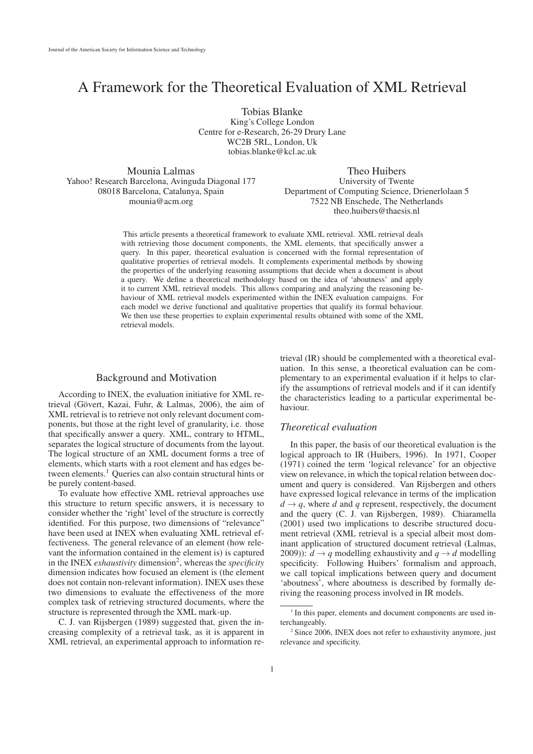# A Framework for the Theoretical Evaluation of XML Retrieval

Tobias Blanke King's College London Centre for e-Research, 26-29 Drury Lane WC2B 5RL, London, Uk tobias.blanke@kcl.ac.uk

Mounia Lalmas Yahoo! Research Barcelona, Avinguda Diagonal 177 08018 Barcelona, Catalunya, Spain mounia@acm.org

Theo Huibers University of Twente Department of Computing Science, Drienerlolaan 5 7522 NB Enschede, The Netherlands theo.huibers@thaesis.nl

This article presents a theoretical framework to evaluate XML retrieval. XML retrieval deals with retrieving those document components, the XML elements, that specifically answer a query. In this paper, theoretical evaluation is concerned with the formal representation of qualitative properties of retrieval models. It complements experimental methods by showing the properties of the underlying reasoning assumptions that decide when a document is about a query. We define a theoretical methodology based on the idea of 'aboutness' and apply it to current XML retrieval models. This allows comparing and analyzing the reasoning behaviour of XML retrieval models experimented within the INEX evaluation campaigns. For each model we derive functional and qualitative properties that qualify its formal behaviour. We then use these properties to explain experimental results obtained with some of the XML retrieval models.

# Background and Motivation

According to INEX, the evaluation initiative for XML retrieval (Gövert, Kazai, Fuhr, & Lalmas, 2006), the aim of XML retrieval is to retrieve not only relevant document components, but those at the right level of granularity, i.e. those that specifically answer a query. XML, contrary to HTML, separates the logical structure of documents from the layout. The logical structure of an XML document forms a tree of elements, which starts with a root element and has edges between elements.<sup>1</sup> Queries can also contain structural hints or be purely content-based.

To evaluate how effective XML retrieval approaches use this structure to return specific answers, it is necessary to consider whether the 'right' level of the structure is correctly identified. For this purpose, two dimensions of "relevance" have been used at INEX when evaluating XML retrieval effectiveness. The general relevance of an element (how relevant the information contained in the element is) is captured in the INEX *exhaustivity* dimension<sup>2</sup>, whereas the *specificity* dimension indicates how focused an element is (the element does not contain non-relevant information). INEX uses these two dimensions to evaluate the effectiveness of the more complex task of retrieving structured documents, where the structure is represented through the XML mark-up.

C. J. van Rijsbergen (1989) suggested that, given the increasing complexity of a retrieval task, as it is apparent in XML retrieval, an experimental approach to information retrieval (IR) should be complemented with a theoretical evaluation. In this sense, a theoretical evaluation can be complementary to an experimental evaluation if it helps to clarify the assumptions of retrieval models and if it can identify the characteristics leading to a particular experimental behaviour.

# *Theoretical evaluation*

In this paper, the basis of our theoretical evaluation is the logical approach to IR (Huibers, 1996). In 1971, Cooper (1971) coined the term 'logical relevance' for an objective view on relevance, in which the topical relation between document and query is considered. Van Rijsbergen and others have expressed logical relevance in terms of the implication  $d \rightarrow q$ , where *d* and *q* represent, respectively, the document and the query (C. J. van Rijsbergen, 1989). Chiaramella (2001) used two implications to describe structured document retrieval (XML retrieval is a special albeit most dominant application of structured document retrieval (Lalmas, 2009)):  $d \rightarrow q$  modelling exhaustivity and  $q \rightarrow d$  modelling specificity. Following Huibers' formalism and approach, we call topical implications between query and document 'aboutness', where aboutness is described by formally deriving the reasoning process involved in IR models.

<sup>&</sup>lt;sup>1</sup> In this paper, elements and document components are used interchangeably.

<sup>&</sup>lt;sup>2</sup> Since 2006, INEX does not refer to exhaustivity anymore, just relevance and specificity.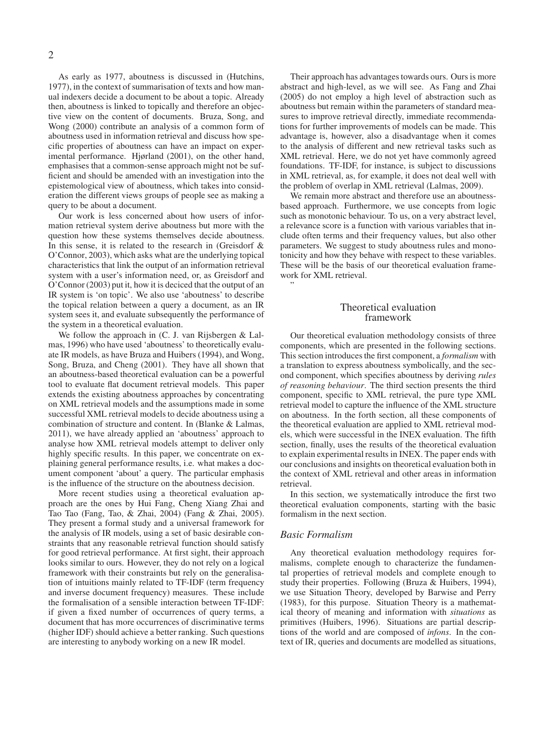As early as 1977, aboutness is discussed in (Hutchins, 1977), in the context of summarisation of texts and how manual indexers decide a document to be about a topic. Already then, aboutness is linked to topically and therefore an objective view on the content of documents. Bruza, Song, and Wong (2000) contribute an analysis of a common form of aboutness used in information retrieval and discuss how specific properties of aboutness can have an impact on experimental performance. Hjørland (2001), on the other hand, emphasises that a common-sense approach might not be sufficient and should be amended with an investigation into the epistemological view of aboutness, which takes into consideration the different views groups of people see as making a query to be about a document.

Our work is less concerned about how users of information retrieval system derive aboutness but more with the question how these systems themselves decide aboutness. In this sense, it is related to the research in (Greisdorf  $\&$ O'Connor, 2003), which asks what are the underlying topical characteristics that link the output of an information retrieval system with a user's information need, or, as Greisdorf and O'Connor (2003) put it, how it is deciced that the output of an IR system is 'on topic'. We also use 'aboutness' to describe the topical relation between a query a document, as an IR system sees it, and evaluate subsequently the performance of the system in a theoretical evaluation.

We follow the approach in (C. J. van Rijsbergen & Lalmas, 1996) who have used 'aboutness' to theoretically evaluate IR models, as have Bruza and Huibers (1994), and Wong, Song, Bruza, and Cheng (2001). They have all shown that an aboutness-based theoretical evaluation can be a powerful tool to evaluate flat document retrieval models. This paper extends the existing aboutness approaches by concentrating on XML retrieval models and the assumptions made in some successful XML retrieval models to decide aboutness using a combination of structure and content. In (Blanke & Lalmas, 2011), we have already applied an 'aboutness' approach to analyse how XML retrieval models attempt to deliver only highly specific results. In this paper, we concentrate on explaining general performance results, i.e. what makes a document component 'about' a query. The particular emphasis is the influence of the structure on the aboutness decision.

More recent studies using a theoretical evaluation approach are the ones by Hui Fang, Cheng Xiang Zhai and Tao Tao (Fang, Tao, & Zhai, 2004) (Fang & Zhai, 2005). They present a formal study and a universal framework for the analysis of IR models, using a set of basic desirable constraints that any reasonable retrieval function should satisfy for good retrieval performance. At first sight, their approach looks similar to ours. However, they do not rely on a logical framework with their constraints but rely on the generalisation of intuitions mainly related to TF-IDF (term frequency and inverse document frequency) measures. These include the formalisation of a sensible interaction between TF-IDF: if given a fixed number of occurrences of query terms, a document that has more occurrences of discriminative terms (higher IDF) should achieve a better ranking. Such questions are interesting to anybody working on a new IR model.

Their approach has advantages towards ours. Ours is more abstract and high-level, as we will see. As Fang and Zhai (2005) do not employ a high level of abstraction such as aboutness but remain within the parameters of standard measures to improve retrieval directly, immediate recommendations for further improvements of models can be made. This advantage is, however, also a disadvantage when it comes to the analysis of different and new retrieval tasks such as XML retrieval. Here, we do not yet have commonly agreed foundations. TF-IDF, for instance, is subject to discussions in XML retrieval, as, for example, it does not deal well with the problem of overlap in XML retrieval (Lalmas, 2009).

We remain more abstract and therefore use an aboutnessbased approach. Furthermore, we use concepts from logic such as monotonic behaviour. To us, on a very abstract level, a relevance score is a function with various variables that include often terms and their frequency values, but also other parameters. We suggest to study aboutness rules and monotonicity and how they behave with respect to these variables. These will be the basis of our theoretical evaluation framework for XML retrieval.

## Theoretical evaluation framework

Our theoretical evaluation methodology consists of three components, which are presented in the following sections. This section introduces the first component, a *formalism* with a translation to express aboutness symbolically, and the second component, which specifies aboutness by deriving *rules of reasoning behaviour*. The third section presents the third component, specific to XML retrieval, the pure type XML retrieval model to capture the influence of the XML structure on aboutness. In the forth section, all these components of the theoretical evaluation are applied to XML retrieval models, which were successful in the INEX evaluation. The fifth section, finally, uses the results of the theoretical evaluation to explain experimental results in INEX. The paper ends with our conclusions and insights on theoretical evaluation both in the context of XML retrieval and other areas in information retrieval.

In this section, we systematically introduce the first two theoretical evaluation components, starting with the basic formalism in the next section.

## *Basic Formalism*

"

Any theoretical evaluation methodology requires formalisms, complete enough to characterize the fundamental properties of retrieval models and complete enough to study their properties. Following (Bruza & Huibers, 1994), we use Situation Theory, developed by Barwise and Perry (1983), for this purpose. Situation Theory is a mathematical theory of meaning and information with *situations* as primitives (Huibers, 1996). Situations are partial descriptions of the world and are composed of *infons*. In the context of IR, queries and documents are modelled as situations,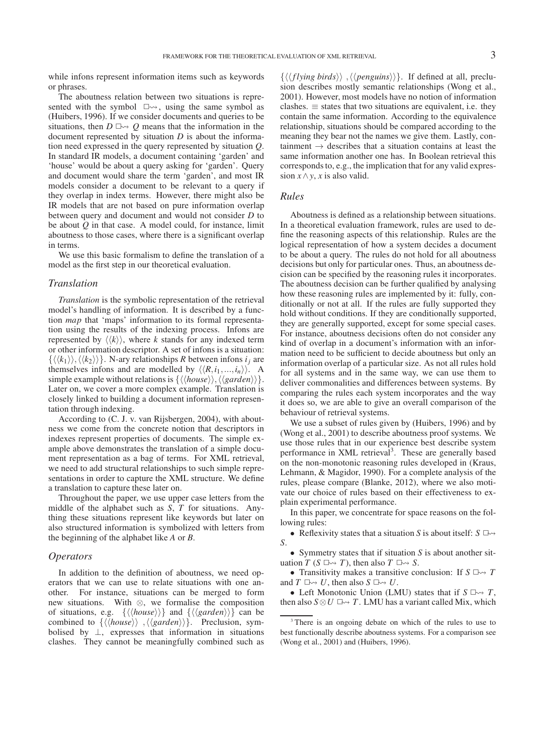while infons represent information items such as keywords or phrases.

The aboutness relation between two situations is represented with the symbol  $\square \rightsquigarrow$ , using the same symbol as (Huibers, 1996). If we consider documents and queries to be situations, then  $D \rightharpoonup Q$  means that the information in the document represented by situation *D* is about the information need expressed in the query represented by situation *Q*. In standard IR models, a document containing 'garden' and 'house' would be about a query asking for 'garden'. Query and document would share the term 'garden', and most IR models consider a document to be relevant to a query if they overlap in index terms. However, there might also be IR models that are not based on pure information overlap between query and document and would not consider *D* to be about *Q* in that case. A model could, for instance, limit aboutness to those cases, where there is a significant overlap in terms.

We use this basic formalism to define the translation of a model as the first step in our theoretical evaluation.

#### *Translation*

*Translation* is the symbolic representation of the retrieval model's handling of information. It is described by a function *map* that 'maps' information to its formal representation using the results of the indexing process. Infons are represented by  $\langle \langle k \rangle \rangle$ , where *k* stands for any indexed term or other information descriptor. A set of infons is a situation:  $\{\langle \langle k_1 \rangle \rangle, \langle \langle k_2 \rangle \rangle\}$ . N-ary relationships *R* between infons *i<sub>j</sub>* are themselves infons and are modelled by  $\langle \langle R, i_1, ..., i_n \rangle \rangle$ . A simple example without relations is  $\{\langle\langle house \rangle\rangle, \langle\langle garden \rangle\rangle\}.$ Later on, we cover a more complex example. Translation is closely linked to building a document information representation through indexing.

According to (C. J. v. van Rijsbergen, 2004), with aboutness we come from the concrete notion that descriptors in indexes represent properties of documents. The simple example above demonstrates the translation of a simple document representation as a bag of terms. For XML retrieval, we need to add structural relationships to such simple representations in order to capture the XML structure. We define a translation to capture these later on.

Throughout the paper, we use upper case letters from the middle of the alphabet such as *S*, *T* for situations. Anything these situations represent like keywords but later on also structured information is symbolized with letters from the beginning of the alphabet like *A* or *B*.

## *Operators*

In addition to the definition of aboutness, we need operators that we can use to relate situations with one another. For instance, situations can be merged to form new situations. With ⊗, we formalise the composition of situations, e.g.  $\{\langle \langle house \rangle \rangle\}$  and  $\{\langle \langle garden \rangle \rangle\}$  can be combined to  $\{\langle \text{house} \rangle\}$ ,  $\{\langle \text{garden} \rangle\}$ . Preclusion, symbolised by  $\perp$ , expresses that information in situations clashes. They cannot be meaningfully combined such as

 $\{\langle \langle \hat{f} \rangle \rangle, \langle \langle \rangle \rangle\}$ . If defined at all, preclusion describes mostly semantic relationships (Wong et al., 2001). However, most models have no notion of information clashes.  $\equiv$  states that two situations are equivalent, i.e. they contain the same information. According to the equivalence relationship, situations should be compared according to the meaning they bear not the names we give them. Lastly, containment  $\rightarrow$  describes that a situation contains at least the same information another one has. In Boolean retrieval this corresponds to, e.g., the implication that for any valid expression  $x \wedge y$ , *x* is also valid.

## *Rules*

Aboutness is defined as a relationship between situations. In a theoretical evaluation framework, rules are used to define the reasoning aspects of this relationship. Rules are the logical representation of how a system decides a document to be about a query. The rules do not hold for all aboutness decisions but only for particular ones. Thus, an aboutness decision can be specified by the reasoning rules it incorporates. The aboutness decision can be further qualified by analysing how these reasoning rules are implemented by it: fully, conditionally or not at all. If the rules are fully supported they hold without conditions. If they are conditionally supported, they are generally supported, except for some special cases. For instance, aboutness decisions often do not consider any kind of overlap in a document's information with an information need to be sufficient to decide aboutness but only an information overlap of a particular size. As not all rules hold for all systems and in the same way, we can use them to deliver commonalities and differences between systems. By comparing the rules each system incorporates and the way it does so, we are able to give an overall comparison of the behaviour of retrieval systems.

We use a subset of rules given by (Huibers, 1996) and by (Wong et al., 2001) to describe aboutness proof systems. We use those rules that in our experience best describe system performance in XML retrieval<sup>3</sup>. These are generally based on the non-monotonic reasoning rules developed in (Kraus, Lehmann, & Magidor, 1990). For a complete analysis of the rules, please compare (Blanke, 2012), where we also motivate our choice of rules based on their effectiveness to explain experimental performance.

In this paper, we concentrate for space reasons on the following rules:

• Reflexivity states that a situation *S* is about itself:  $S \Box \rightarrow$ *S*.

• Symmetry states that if situation *S* is about another situation *T* (*S*  $\Box \rightarrow$  *T*), then also *T*  $\Box \rightarrow$  *S*.

• Transitivity makes a transitive conclusion: If  $S \square \rightarrow T$ and  $T \Box \rightarrow U$ , then also  $S \Box \rightarrow U$ .

• Left Monotonic Union (LMU) states that if  $S \Box \rightarrow T$ , then also  $S \otimes U \hookrightarrow T$ . LMU has a variant called Mix, which

<sup>&</sup>lt;sup>3</sup> There is an ongoing debate on which of the rules to use to best functionally describe aboutness systems. For a comparison see (Wong et al., 2001) and (Huibers, 1996).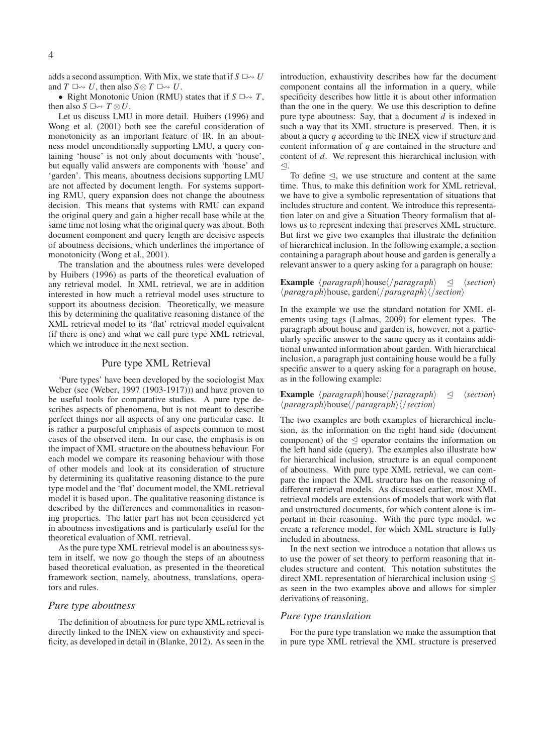adds a second assumption. With Mix, we state that if  $S \to U$ and  $T \Box \rightarrow U$ , then also  $S \otimes T \Box \rightarrow U$ .

• Right Monotonic Union (RMU) states that if  $S \rightharpoonup T$ , then also  $S \square \rightarrow T \otimes U$ .

Let us discuss LMU in more detail. Huibers (1996) and Wong et al. (2001) both see the careful consideration of monotonicity as an important feature of IR. In an aboutness model unconditionally supporting LMU, a query containing 'house' is not only about documents with 'house', but equally valid answers are components with 'house' and 'garden'. This means, aboutness decisions supporting LMU are not affected by document length. For systems supporting RMU, query expansion does not change the aboutness decision. This means that systems with RMU can expand the original query and gain a higher recall base while at the same time not losing what the original query was about. Both document component and query length are decisive aspects of aboutness decisions, which underlines the importance of monotonicity (Wong et al., 2001).

The translation and the aboutness rules were developed by Huibers (1996) as parts of the theoretical evaluation of any retrieval model. In XML retrieval, we are in addition interested in how much a retrieval model uses structure to support its aboutness decision. Theoretically, we measure this by determining the qualitative reasoning distance of the XML retrieval model to its 'flat' retrieval model equivalent (if there is one) and what we call pure type XML retrieval, which we introduce in the next section.

#### Pure type XML Retrieval

'Pure types' have been developed by the sociologist Max Weber (see (Weber, 1997 (1903-1917))) and have proven to be useful tools for comparative studies. A pure type describes aspects of phenomena, but is not meant to describe perfect things nor all aspects of any one particular case. It is rather a purposeful emphasis of aspects common to most cases of the observed item. In our case, the emphasis is on the impact of XML structure on the aboutness behaviour. For each model we compare its reasoning behaviour with those of other models and look at its consideration of structure by determining its qualitative reasoning distance to the pure type model and the 'flat' document model, the XML retrieval model it is based upon. The qualitative reasoning distance is described by the differences and commonalities in reasoning properties. The latter part has not been considered yet in aboutness investigations and is particularly useful for the theoretical evaluation of XML retrieval.

As the pure type XML retrieval model is an aboutness system in itself, we now go though the steps of an aboutness based theoretical evaluation, as presented in the theoretical framework section, namely, aboutness, translations, operators and rules.

## *Pure type aboutness*

The definition of aboutness for pure type XML retrieval is directly linked to the INEX view on exhaustivity and specificity, as developed in detail in (Blanke, 2012). As seen in the introduction, exhaustivity describes how far the document component contains all the information in a query, while specificity describes how little it is about other information than the one in the query. We use this description to define pure type aboutness: Say, that a document *d* is indexed in such a way that its XML structure is preserved. Then, it is about a query *q* according to the INEX view if structure and content information of *q* are contained in the structure and content of *d*. We represent this hierarchical inclusion with  $\trianglelefteq$ .

To define  $\triangleleft$ , we use structure and content at the same time. Thus, to make this definition work for XML retrieval, we have to give a symbolic representation of situations that includes structure and content. We introduce this representation later on and give a Situation Theory formalism that allows us to represent indexing that preserves XML structure. But first we give two examples that illustrate the definition of hierarchical inclusion. In the following example, a section containing a paragraph about house and garden is generally a relevant answer to a query asking for a paragraph on house:

### **Example**  $\langle \text{paragnh} \rangle$ house $\langle \text{paragnh} \rangle \leq \langle \text{section} \rangle$  $\langle \text{paragnh} \rangle$ house, garden $\langle \text{paragnh} \rangle$  $\langle \text{/section} \rangle$

In the example we use the standard notation for XML elements using tags (Lalmas, 2009) for element types. The paragraph about house and garden is, however, not a particularly specific answer to the same query as it contains additional unwanted information about garden. With hierarchical inclusion, a paragraph just containing house would be a fully specific answer to a query asking for a paragraph on house, as in the following example:

**Example**  $\langle \text{paragnh} \rangle$ house $\langle \text{paragnh} \rangle$   $\leq$   $\langle \text{section} \rangle$  $\langle$ *paragraph* $\rangle$ house $\langle$ /*paragraph* $\rangle$  $\langle$ /*section* $\rangle$ 

The two examples are both examples of hierarchical inclusion, as the information on the right hand side (document component) of the  $\triangleleft$  operator contains the information on the left hand side (query). The examples also illustrate how for hierarchical inclusion, structure is an equal component of aboutness. With pure type XML retrieval, we can compare the impact the XML structure has on the reasoning of different retrieval models. As discussed earlier, most XML retrieval models are extensions of models that work with flat and unstructured documents, for which content alone is important in their reasoning. With the pure type model, we create a reference model, for which XML structure is fully included in aboutness.

In the next section we introduce a notation that allows us to use the power of set theory to perform reasoning that includes structure and content. This notation substitutes the direct XML representation of hierarchical inclusion using  $\leq$ as seen in the two examples above and allows for simpler derivations of reasoning.

### *Pure type translation*

For the pure type translation we make the assumption that in pure type XML retrieval the XML structure is preserved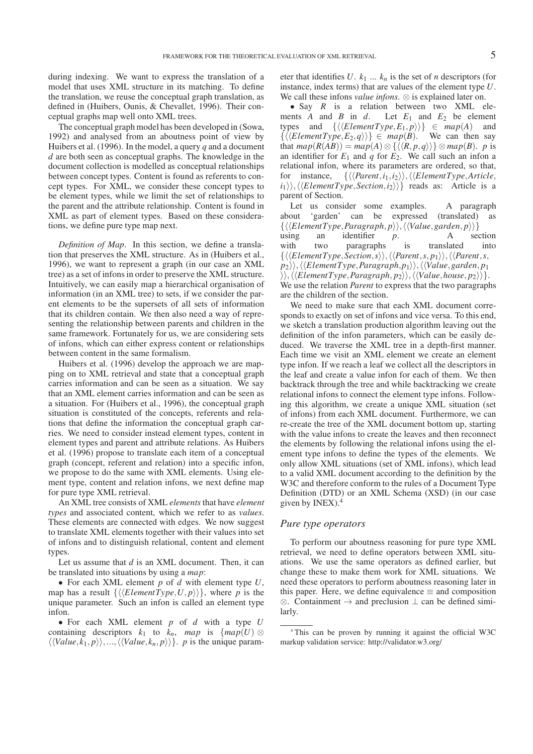during indexing. We want to express the translation of a model that uses XML structure in its matching. To define the translation, we reuse the conceptual graph translation, as defined in (Huibers, Ounis, & Chevallet, 1996). Their conceptual graphs map well onto XML trees.

The conceptual graph model has been developed in (Sowa, 1992) and analysed from an aboutness point of view by Huibers et al. (1996). In the model, a query *q* and a document *d* are both seen as conceptual graphs. The knowledge in the document collection is modelled as conceptual relationships between concept types. Content is found as referents to concept types. For XML, we consider these concept types to be element types, while we limit the set of relationships to the parent and the attribute relationship. Content is found in XML as part of element types. Based on these considerations, we define pure type map next.

*Definition of Map*. In this section, we define a translation that preserves the XML structure. As in (Huibers et al., 1996), we want to represent a graph (in our case an XML tree) as a set of infons in order to preserve the XML structure. Intuitively, we can easily map a hierarchical organisation of information (in an XML tree) to sets, if we consider the parent elements to be the supersets of all sets of information that its children contain. We then also need a way of representing the relationship between parents and children in the same framework. Fortunately for us, we are considering sets of infons, which can either express content or relationships between content in the same formalism.

Huibers et al. (1996) develop the approach we are mapping on to XML retrieval and state that a conceptual graph carries information and can be seen as a situation. We say that an XML element carries information and can be seen as a situation. For (Huibers et al., 1996), the conceptual graph situation is constituted of the concepts, referents and relations that define the information the conceptual graph carries. We need to consider instead element types, content in element types and parent and attribute relations. As Huibers et al. (1996) propose to translate each item of a conceptual graph (concept, referent and relation) into a specific infon, we propose to do the same with XML elements. Using element type, content and relation infons, we next define map for pure type XML retrieval.

An XML tree consists of XML *elements* that have *element types* and associated content, which we refer to as *values*. These elements are connected with edges. We now suggest to translate XML elements together with their values into set of infons and to distinguish relational, content and element types.

Let us assume that *d* is an XML document. Then, it can be translated into situations by using a *map*:

• For each XML element *p* of *d* with element type *U*, map has a result  $\{\langle\langle ElementType, U, p\rangle\rangle\},\$  where *p* is the unique parameter. Such an infon is called an element type infon.

• For each XML element *p* of *d* with a type *U* containing descriptors  $k_1$  to  $\bar{k}_n$ , map is  $\{map(U) \otimes$  $\langle \langle Value, k_1, p \rangle \rangle, ..., \langle \langle Value, k_n, p \rangle \rangle\}$ . *p* is the unique parameter that identifies  $U$ .  $k_1$  ...  $k_n$  is the set of *n* descriptors (for instance, index terms) that are values of the element type *U*. We call these infons *value infons*. ⊗ is explained later on.

• Say *R* is a relation between two XML elements *A* and *B* in *d*. Let  $E_1$  and  $E_2$  be element types and  $\{\langle\langle ElementType, E_1, p\rangle\rangle\} \in map(A)$  and  $\{\langle\langle ElementType,E_2,q\rangle\rangle\}\in map(B)$ . We can then say that  $map(R(AB)) = map(A) \otimes \{ \langle \langle R, p, q \rangle \rangle \} \otimes map(B)$ . *p* is an identifier for  $E_1$  and  $q$  for  $E_2$ . We call such an infon a relational infon, where its parameters are ordered, so that, for instance,  $\{\langle\langle Parent,i_1,i_2\rangle\rangle,\langle\langleElementType,Article,$  $\langle i_1 \rangle \rangle$ ,  $\langle \langle ElementType,Section, i_2 \rangle \rangle$  reads as: Article is a parent of Section.

Let us consider some examples. A paragraph about 'garden' can be expressed (translated) as  $\{\langle\langle ElementType, Paragramh, p\rangle\rangle, \langle\langle Value, garden, p\rangle\rangle\}$ using an identifier *p*. A section with two paragraphs is translated into  $\{\langle\langle ElementType,Section, s\rangle\rangle, \langle\langle Parent, s, p_1\rangle\rangle, \langle\langle Parent, s, p_2\rangle\rangle\}$  $|p_2\rangle\rangle, \langle\langle ElementType, Paragraph, p_1\rangle\rangle, \langle\langle Value, garden, p_1\rangle\rangle\rangle$  $\rangle\rangle, \langle\langle ElementType, Paragram, p_2\rangle\rangle, \langle\langle Value, house, p_2\rangle\rangle\rangle.$ We use the relation *Parent* to express that the two paragraphs are the children of the section.

We need to make sure that each XML document corresponds to exactly on set of infons and vice versa. To this end, we sketch a translation production algorithm leaving out the definition of the infon parameters, which can be easily deduced. We traverse the XML tree in a depth-first manner. Each time we visit an XML element we create an element type infon. If we reach a leaf we collect all the descriptors in the leaf and create a value infon for each of them. We then backtrack through the tree and while backtracking we create relational infons to connect the element type infons. Following this algorithm, we create a unique XML situation (set of infons) from each XML document. Furthermore, we can re-create the tree of the XML document bottom up, starting with the value infons to create the leaves and then reconnect the elements by following the relational infons using the element type infons to define the types of the elements. We only allow XML situations (set of XML infons), which lead to a valid XML document according to the definition by the W3C and therefore conform to the rules of a Document Type Definition (DTD) or an XML Schema (XSD) (in our case given by INEX).<sup>4</sup>

## *Pure type operators*

To perform our aboutness reasoning for pure type XML retrieval, we need to define operators between XML situations. We use the same operators as defined earlier, but change these to make them work for XML situations. We need these operators to perform aboutness reasoning later in this paper. Here, we define equivalence  $\equiv$  and composition  $\otimes$ . Containment  $\rightarrow$  and preclusion  $\perp$  can be defined similarly.

<sup>4</sup> This can be proven by running it against the official W3C markup validation service: http://validator.w3.org/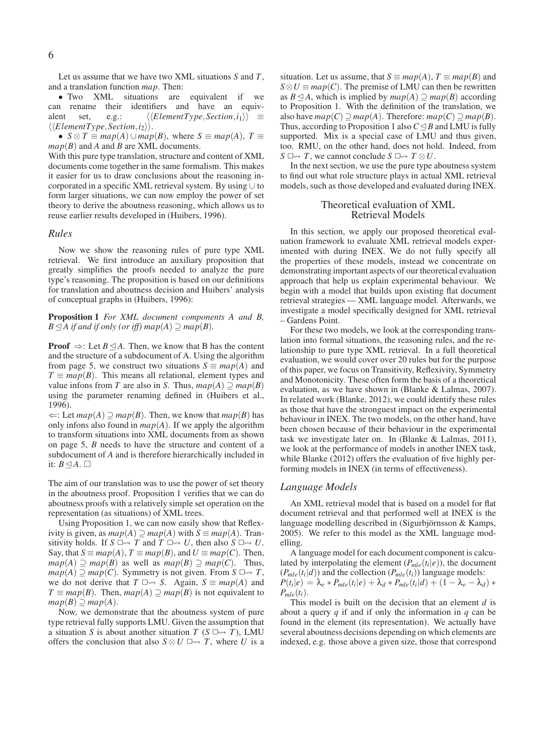Let us assume that we have two XML situations *S* and *T*, and a translation function *map*. Then:

• Two XML situations are equivalent if we can rename their identifiers and have an equivalent set, e.g.:  $\langle\langle ElementType,Section, i_1\rangle\rangle \equiv$  $\langle\langle ElementType,Section, i_2\rangle\rangle.$ 

•  $S \otimes T \equiv map(A) \cup map(B)$ , where  $S \equiv map(A)$ ,  $T \equiv$ *map*(*B*) and *A* and *B* are XML documents.

With this pure type translation, structure and content of XML documents come together in the same formalism. This makes it easier for us to draw conclusions about the reasoning incorporated in a specific XML retrieval system. By using ∪ to form larger situations, we can now employ the power of set theory to derive the aboutness reasoning, which allows us to reuse earlier results developed in (Huibers, 1996).

#### *Rules*

Now we show the reasoning rules of pure type XML retrieval. We first introduce an auxiliary proposition that greatly simplifies the proofs needed to analyze the pure type's reasoning. The proposition is based on our definitions for translation and aboutness decision and Huibers' analysis of conceptual graphs in (Huibers, 1996):

**Proposition 1** *For XML document components A and B, B* $\leq$ *A if and if only (or iff) map* $(A)$  $\supseteq$  *map* $(B)$ *.* 

**Proof**  $\Rightarrow$ : Let *B* $\leq$ *A*. Then, we know that *B* has the content and the structure of a subdocument of A. Using the algorithm from page 5, we construct two situations  $S \equiv map(A)$  and  $T \equiv map(B)$ . This means all relational, element types and value infons from *T* are also in *S*. Thus,  $map(A) \supseteq map(B)$ using the parameter renaming defined in (Huibers et al., 1996).

⇐: Let *map*(*A*) ⊇ *map*(*B*). Then, we know that *map*(*B*) has only infons also found in  $map(A)$ . If we apply the algorithm to transform situations into XML documents from as shown on page 5, *B* needs to have the structure and content of a subdocument of *A* and is therefore hierarchically included in it:  $B \trianglelefteq A$ .  $\square$ 

The aim of our translation was to use the power of set theory in the aboutness proof. Proposition 1 verifies that we can do aboutness proofs with a relatively simple set operation on the representation (as situations) of XML trees.

Using Proposition 1, we can now easily show that Reflexivity is given, as  $map(A) \supseteq map(A)$  with  $S \equiv map(A)$ . Transitivity holds. If  $S \square \rightarrow T$  and  $T \square \rightarrow U$ , then also  $S \square \rightarrow U$ . Say, that  $S \equiv map(A), T \equiv map(B)$ , and  $U \equiv map(C)$ . Then, *map*(*A*) ⊇ *map*(*B*) as well as *map*(*B*) ⊇ *map*(*C*). Thus, *map*(*A*) ⊇ *map*(*C*). Symmetry is not given. From *S*  $\Box$  → *T*, we do not derive that  $T \Box \rightarrow S$ . Again,  $S \equiv map(A)$  and  $T \equiv map(B)$ . Then,  $map(A) \supseteq map(B)$  is not equivalent to  $map(B) \supseteq map(A)$ .

Now, we demonstrate that the aboutness system of pure type retrieval fully supports LMU. Given the assumption that a situation *S* is about another situation *T* ( $S \rightharpoonup T$ ), LMU offers the conclusion that also  $S \otimes U \square \rightarrow T$ , where *U* is a

situation. Let us assume, that  $S \equiv map(A)$ ,  $T \equiv map(B)$  and  $S \otimes U \equiv map(C)$ . The premise of LMU can then be rewritten as  $B \triangleleft A$ , which is implied by  $map(A) \supset map(B)$  according to Proposition 1. With the definition of the translation, we also have  $map(C) \supseteq map(A)$ . Therefore:  $map(C) \supseteq map(B)$ . Thus, according to Proposition 1 also  $C \triangleleft B$  and LMU is fully supported. Mix is a special case of LMU and thus given, too. RMU, on the other hand, does not hold. Indeed, from *S*  $\Box \rightarrow T$ , we cannot conclude *S*  $\Box \rightarrow T \otimes U$ .

In the next section, we use the pure type aboutness system to find out what role structure plays in actual XML retrieval models, such as those developed and evaluated during INEX.

#### Theoretical evaluation of XML Retrieval Models

In this section, we apply our proposed theoretical evaluation framework to evaluate XML retrieval models experimented with during INEX. We do not fully specify all the properties of these models, instead we concentrate on demonstrating important aspects of our theoretical evaluation approach that help us explain experimental behaviour. We begin with a model that builds upon existing flat document retrieval strategies — XML language model. Afterwards, we investigate a model specifically designed for XML retrieval – Gardens Point.

For these two models, we look at the corresponding translation into formal situations, the reasoning rules, and the relationship to pure type XML retrieval. In a full theoretical evaluation, we would cover over 20 rules but for the purpose of this paper, we focus on Transitivity, Reflexivity, Symmetry and Monotonicity. These often form the basis of a theoretical evaluation, as we have shown in (Blanke & Lalmas, 2007). In related work (Blanke, 2012), we could identify these rules as those that have the stronguest impact on the experimental behaviour in INEX. The two models, on the other hand, have been chosen because of their behaviour in the experimental task we investigate later on. In (Blanke & Lalmas, 2011), we look at the performance of models in another INEX task, while Blanke (2012) offers the evaluation of five highly performing models in INEX (in terms of effectiveness).

#### *Language Models*

An XML retrieval model that is based on a model for flat document retrieval and that performed well at INEX is the language modelling described in (Sigurbjörnsson & Kamps, 2005). We refer to this model as the XML language modelling.

A language model for each document component is calculated by interpolating the element  $(P_{mle}(t_i|e))$ , the document  $(P_{mle}(t_i|d))$  and the collection  $(P_{mle}(t_i))$  language models:  $P(t_i | e) = \lambda_e * P_{mle}(t_i | e) + \lambda_d * P_{mle}(t_i | d) + (1 - \lambda_e - \lambda_d) *$  $P_{mle}(t_i)$ .

This model is built on the decision that an element *d* is about a query *q* if and if only the information in *q* can be found in the element (its representation). We actually have several aboutness decisions depending on which elements are indexed, e.g. those above a given size, those that correspond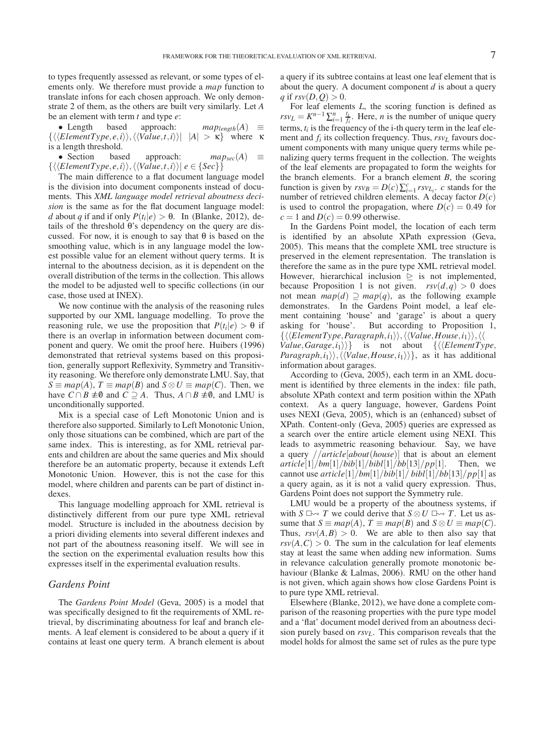to types frequently assessed as relevant, or some types of elements only. We therefore must provide a *map* function to translate infons for each chosen approach. We only demonstrate 2 of them, as the others are built very similarly. Let *A* be an element with term *t* and type *e*:

• Length based approach:  $map_{length}(A) \equiv$  $\{\langle\langle ElementType,e,i\rangle\rangle,\langle\langle Value,t,i\rangle\rangle| |A| > \kappa\}$  where  $\kappa$ is a length threshold.

• Section based approach:  $map_{sec}(A) \equiv$  $\{\langle\langle ElementType,e,i\rangle\rangle,\langle\langle Value,t,i\rangle\rangle|e\in\{Sec\}\}\}\$ 

The main difference to a flat document language model is the division into document components instead of documents. This *XML language model retrieval aboutness decision* is the same as for the flat document language model: *d* about *q* if and if only  $P(t_i|e) > \theta$ . In (Blanke, 2012), details of the threshold θ's dependency on the query are discussed. For now, it is enough to say that  $\theta$  is based on the smoothing value, which is in any language model the lowest possible value for an element without query terms. It is internal to the aboutness decision, as it is dependent on the overall distribution of the terms in the collection. This allows the model to be adjusted well to specific collections (in our case, those used at INEX).

We now continue with the analysis of the reasoning rules supported by our XML language modelling. To prove the reasoning rule, we use the proposition that  $P(t_i|e) > \theta$  if there is an overlap in information between document component and query. We omit the proof here. Huibers (1996) demonstrated that retrieval systems based on this proposition, generally support Reflexivity, Symmetry and Transitivity reasoning. We therefore only demonstrate LMU. Say, that *S* ≡ *map*(*A*), *T* ≡ *map*(*B*) and *S* ⊗ *U* ≡ *map*(*C*). Then, we have *C* ∩ *B*  $\neq$  0 and *C*  $\supseteq$  *A*. Thus, *A* ∩ *B*  $\neq$  0, and LMU is unconditionally supported.

Mix is a special case of Left Monotonic Union and is therefore also supported. Similarly to Left Monotonic Union, only those situations can be combined, which are part of the same index. This is interesting, as for XML retrieval parents and children are about the same queries and Mix should therefore be an automatic property, because it extends Left Monotonic Union. However, this is not the case for this model, where children and parents can be part of distinct indexes.

This language modelling approach for XML retrieval is distinctively different from our pure type XML retrieval model. Structure is included in the aboutness decision by a priori dividing elements into several different indexes and not part of the aboutness reasoning itself. We will see in the section on the experimental evaluation results how this expresses itself in the experimental evaluation results.

## *Gardens Point*

The *Gardens Point Model* (Geva, 2005) is a model that was specifically designed to fit the requirements of XML retrieval, by discriminating aboutness for leaf and branch elements. A leaf element is considered to be about a query if it contains at least one query term. A branch element is about a query if its subtree contains at least one leaf element that is about the query. A document component *d* is about a query *q* if  $rsv(D,Q) > 0$ .

For leaf elements *L*, the scoring function is defined as  $rsv_L = K^{n-1} \sum_{i=1}^n \frac{t_i}{f_i}$ . Here, *n* is the number of unique query terms,  $t_i$  is the frequency of the *i*-th query term in the leaf element and  $f_i$  its collection frequency. Thus,  $rsv_L$  favours document components with many unique query terms while penalizing query terms frequent in the collection. The weights of the leaf elements are propagated to form the weights for the branch elements. For a branch element *B*, the scoring function is given by  $rsv_B = D(c) \sum_{i=1}^{c} rsv_{L_i}$ , *c* stands for the number of retrieved children elements. A decay factor *D*(*c*) is used to control the propagation, where  $D(c) = 0.49$  for  $c = 1$  and  $D(c) = 0.99$  otherwise.

In the Gardens Point model, the location of each term is identified by an absolute XPath expression (Geva, 2005). This means that the complete XML tree structure is preserved in the element representation. The translation is therefore the same as in the pure type XML retrieval model. However, hierarchical inclusion  $\geq$  is not implemented, because Proposition 1 is not given.  $rsv(d,q) > 0$  does not mean  $map(d) \supseteq map(q)$ , as the following example demonstrates. In the Gardens Point model, a leaf element containing 'house' and 'garage' is about a query asking for 'house'. But according to Proposition 1,  $\{\langle\langle ElementType, Paragraph,i_1\rangle\rangle,\langle\langle Value, House,i_1\rangle\rangle\},\langle\langle$ *Value*, *Garage*,  $i_1$ }} is not about { $\langle\langle ElementType,$  $Paragraph, i_1\rangle, \langle \langle Value, House, i_1 \rangle \rangle,$  as it has additional information about garages.

According to (Geva, 2005), each term in an XML document is identified by three elements in the index: file path, absolute XPath context and term position within the XPath context. As a query language, however, Gardens Point uses NEXI (Geva, 2005), which is an (enhanced) subset of XPath. Content-only (Geva, 2005) queries are expressed as a search over the entire article element using NEXI. This leads to asymmetric reasoning behaviour. Say, we have a query //*article*[*about*(*house*)] that is about an element  $article[1]/bm[1]/bib[1]/bib[1]/bb[13]/pp[1]$ . Then, we cannot use  $article[1]/bm[1]/bib[1]/bib[1]/bb[13]/pp[1]$  as a query again, as it is not a valid query expression. Thus, Gardens Point does not support the Symmetry rule.

LMU would be a property of the aboutness systems, if with  $S \Box \rightarrow T$  we could derive that  $S \otimes U \Box \rightarrow T$ . Let us assume that  $S \equiv map(A), T \equiv map(B)$  and  $S \otimes U \equiv map(C)$ . Thus,  $rsv(A, B) > 0$ . We are able to then also say that  $rsv(A,C) > 0$ . The sum in the calculation for leaf elements stay at least the same when adding new information. Sums in relevance calculation generally promote monotonic behaviour (Blanke & Lalmas, 2006). RMU on the other hand is not given, which again shows how close Gardens Point is to pure type XML retrieval.

Elsewhere (Blanke, 2012), we have done a complete comparison of the reasoning properties with the pure type model and a 'flat' document model derived from an aboutness decision purely based on *rsvL*. This comparison reveals that the model holds for almost the same set of rules as the pure type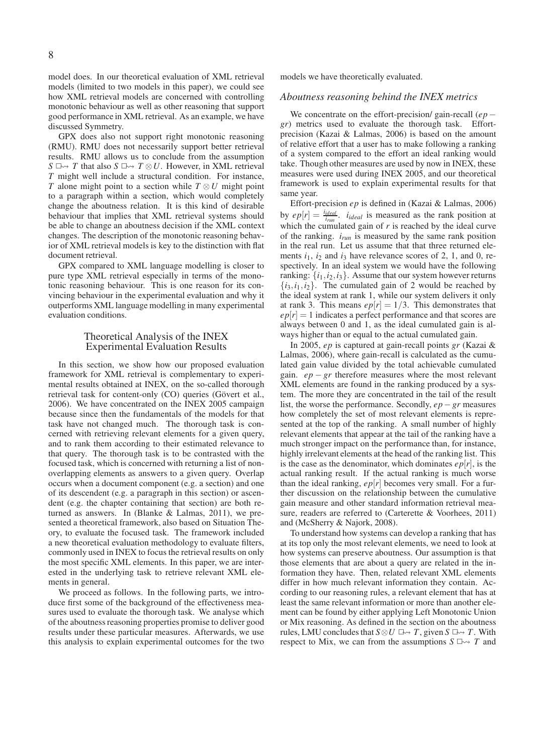model does. In our theoretical evaluation of XML retrieval models (limited to two models in this paper), we could see how XML retrieval models are concerned with controlling monotonic behaviour as well as other reasoning that support good performance in XML retrieval. As an example, we have discussed Symmetry.

GPX does also not support right monotonic reasoning (RMU). RMU does not necessarily support better retrieval results. RMU allows us to conclude from the assumption *S* □  $\rightarrow$  *T* that also *S* □  $\rightarrow$  *T*  $\otimes$  *U*. However, in XML retrieval *T* might well include a structural condition. For instance, *T* alone might point to a section while *T* ⊗*U* might point to a paragraph within a section, which would completely change the aboutness relation. It is this kind of desirable behaviour that implies that XML retrieval systems should be able to change an aboutness decision if the XML context changes. The description of the monotonic reasoning behavior of XML retrieval models is key to the distinction with flat document retrieval.

GPX compared to XML language modelling is closer to pure type XML retrieval especially in terms of the monotonic reasoning behaviour. This is one reason for its convincing behaviour in the experimental evaluation and why it outperforms XML language modelling in many experimental evaluation conditions.

### Theoretical Analysis of the INEX Experimental Evaluation Results

In this section, we show how our proposed evaluation framework for XML retrieval is complementary to experimental results obtained at INEX, on the so-called thorough retrieval task for content-only (CO) queries (Gövert et al., 2006). We have concentrated on the INEX 2005 campaign because since then the fundamentals of the models for that task have not changed much. The thorough task is concerned with retrieving relevant elements for a given query, and to rank them according to their estimated relevance to that query. The thorough task is to be contrasted with the focused task, which is concerned with returning a list of nonoverlapping elements as answers to a given query. Overlap occurs when a document component (e.g. a section) and one of its descendent (e.g. a paragraph in this section) or ascendent (e.g. the chapter containing that section) are both returned as answers. In (Blanke & Lalmas, 2011), we presented a theoretical framework, also based on Situation Theory, to evaluate the focused task. The framework included a new theoretical evaluation methodology to evaluate filters, commonly used in INEX to focus the retrieval results on only the most specific XML elements. In this paper, we are interested in the underlying task to retrieve relevant XML elements in general.

We proceed as follows. In the following parts, we introduce first some of the background of the effectiveness measures used to evaluate the thorough task. We analyse which of the aboutness reasoning properties promise to deliver good results under these particular measures. Afterwards, we use this analysis to explain experimental outcomes for the two models we have theoretically evaluated.

# *Aboutness reasoning behind the INEX metrics*

We concentrate on the effort-precision/ gain-recall (*ep* − *gr*) metrics used to evaluate the thorough task. Effortprecision (Kazai & Lalmas, 2006) is based on the amount of relative effort that a user has to make following a ranking of a system compared to the effort an ideal ranking would take. Though other measures are used by now in INEX, these measures were used during INEX 2005, and our theoretical framework is used to explain experimental results for that same year.

Effort-precision *ep* is defined in (Kazai & Lalmas, 2006) by  $ep[r] = \frac{i_{ideal}}{i_{run}}$ .  $i_{ideal}$  is measured as the rank position at which the cumulated gain of  $r$  is reached by the ideal curve of the ranking. *irun* is measured by the same rank position in the real run. Let us assume that that three returned elements  $i_1$ ,  $i_2$  and  $i_3$  have relevance scores of 2, 1, and 0, respectively. In an ideal system we would have the following ranking:  $\{i_1, i_2, i_3\}$ . Assume that our system however returns  $\{i_3, i_1, i_2\}$ . The cumulated gain of 2 would be reached by the ideal system at rank 1, while our system delivers it only at rank 3. This means  $ep[r] = 1/3$ . This demonstrates that  $ep[r] = 1$  indicates a perfect performance and that scores are always between 0 and 1, as the ideal cumulated gain is always higher than or equal to the actual cumulated gain.

In 2005, *ep* is captured at gain-recall points *gr* (Kazai & Lalmas, 2006), where gain-recall is calculated as the cumulated gain value divided by the total achievable cumulated gain.  $ep - gr$  therefore measures where the most relevant XML elements are found in the ranking produced by a system. The more they are concentrated in the tail of the result list, the worse the performance. Secondly, *ep*−*gr* measures how completely the set of most relevant elements is represented at the top of the ranking. A small number of highly relevant elements that appear at the tail of the ranking have a much stronger impact on the performance than, for instance, highly irrelevant elements at the head of the ranking list. This is the case as the denominator, which dominates  $ep[r]$ , is the actual ranking result. If the actual ranking is much worse than the ideal ranking,  $ep[r]$  becomes very small. For a further discussion on the relationship between the cumulative gain measure and other standard information retrieval measure, readers are referred to (Carterette & Voorhees, 2011) and (McSherry & Najork, 2008).

To understand how systems can develop a ranking that has at its top only the most relevant elements, we need to look at how systems can preserve aboutness. Our assumption is that those elements that are about a query are related in the information they have. Then, related relevant XML elements differ in how much relevant information they contain. According to our reasoning rules, a relevant element that has at least the same relevant information or more than another element can be found by either applying Left Monotonic Union or Mix reasoning. As defined in the section on the aboutness rules, LMU concludes that  $S \otimes U \rightrightarrows T$ , given  $S \rightrightarrows T$ . With respect to Mix, we can from the assumptions  $S \Box \rightarrow T$  and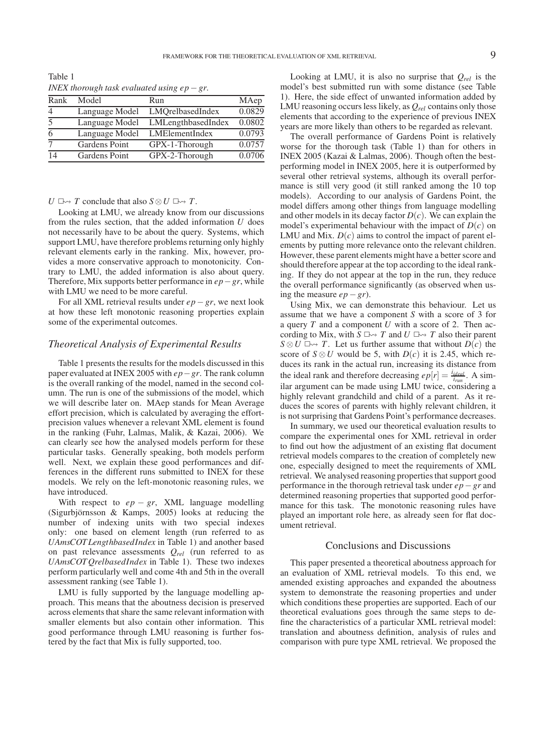Table 1 *INEX thorough task evaluated using ep*−*gr.*

| Rank                  | Model          | Run                | MAep   |
|-----------------------|----------------|--------------------|--------|
|                       | Language Model | LMQrelbasedIndex   | 0.0829 |
| $\tilde{\mathcal{L}}$ | Language Model | LMLengthbasedIndex | 0.0802 |
|                       | Language Model | LMElementIndex     | 0.0793 |
|                       | Gardens Point  | GPX-1-Thorough     | 0.0757 |
| 14                    | Gardens Point  | GPX-2-Thorough     | 0.0706 |

## *U*  $\Box \rightarrow$  *T* conclude that also *S* ⊗ *U*  $\Box \rightarrow$  *T*.

Looking at LMU, we already know from our discussions from the rules section, that the added information *U* does not necessarily have to be about the query. Systems, which support LMU, have therefore problems returning only highly relevant elements early in the ranking. Mix, however, provides a more conservative approach to monotonicity. Contrary to LMU, the added information is also about query. Therefore, Mix supports better performance in *ep*−*gr*, while with LMU we need to be more careful.

For all XML retrieval results under *ep*−*gr*, we next look at how these left monotonic reasoning properties explain some of the experimental outcomes.

#### *Theoretical Analysis of Experimental Results*

Table 1 presents the results for the models discussed in this paper evaluated at INEX 2005 with *ep*−*gr*. The rank column is the overall ranking of the model, named in the second column. The run is one of the submissions of the model, which we will describe later on. MAep stands for Mean Average effort precision, which is calculated by averaging the effortprecision values whenever a relevant XML element is found in the ranking (Fuhr, Lalmas, Malik, & Kazai, 2006). We can clearly see how the analysed models perform for these particular tasks. Generally speaking, both models perform well. Next, we explain these good performances and differences in the different runs submitted to INEX for these models. We rely on the left-monotonic reasoning rules, we have introduced.

With respect to  $ep - gr$ , XML language modelling (Sigurbjörnsson & Kamps, 2005) looks at reducing the number of indexing units with two special indexes only: one based on element length (run referred to as *UAmsCOT LengthbasedIndex* in Table 1) and another based on past relevance assessments *Qrel* (run referred to as *UAmsCOT QrelbasedIndex* in Table 1). These two indexes perform particularly well and come 4th and 5th in the overall assessment ranking (see Table 1).

LMU is fully supported by the language modelling approach. This means that the aboutness decision is preserved across elements that share the same relevant information with smaller elements but also contain other information. This good performance through LMU reasoning is further fostered by the fact that Mix is fully supported, too.

Looking at LMU, it is also no surprise that *Qrel* is the model's best submitted run with some distance (see Table 1). Here, the side effect of unwanted information added by LMU reasoning occurs less likely, as *Qrel* contains only those elements that according to the experience of previous INEX years are more likely than others to be regarded as relevant.

The overall performance of Gardens Point is relatively worse for the thorough task (Table 1) than for others in INEX 2005 (Kazai & Lalmas, 2006). Though often the bestperforming model in INEX 2005, here it is outperformed by several other retrieval systems, although its overall performance is still very good (it still ranked among the 10 top models). According to our analysis of Gardens Point, the model differs among other things from language modelling and other models in its decay factor  $D(c)$ . We can explain the model's experimental behaviour with the impact of  $D(c)$  on LMU and Mix.  $D(c)$  aims to control the impact of parent elements by putting more relevance onto the relevant children. However, these parent elements might have a better score and should therefore appear at the top according to the ideal ranking. If they do not appear at the top in the run, they reduce the overall performance significantly (as observed when using the measure *ep*−*gr*).

Using Mix, we can demonstrate this behaviour. Let us assume that we have a component *S* with a score of 3 for a query *T* and a component *U* with a score of 2. Then according to Mix, with  $S \Box \rightarrow T$  and  $U \Box \rightarrow T$  also their parent  $S \otimes U \rightharpoonup T$ . Let us further assume that without *D*(*c*) the score of  $S \otimes U$  would be 5, with  $D(c)$  it is 2.45, which reduces its rank in the actual run, increasing its distance from the ideal rank and therefore decreasing  $ep[r] = \frac{i_{ideal}}{i_{run}}$ . A similar argument can be made using LMU twice, considering a highly relevant grandchild and child of a parent. As it reduces the scores of parents with highly relevant children, it is not surprising that Gardens Point's performance decreases.

In summary, we used our theoretical evaluation results to compare the experimental ones for XML retrieval in order to find out how the adjustment of an existing flat document retrieval models compares to the creation of completely new one, especially designed to meet the requirements of XML retrieval. We analysed reasoning properties that support good performance in the thorough retrieval task under *ep*−*gr* and determined reasoning properties that supported good performance for this task. The monotonic reasoning rules have played an important role here, as already seen for flat document retrieval.

## Conclusions and Discussions

This paper presented a theoretical aboutness approach for an evaluation of XML retrieval models. To this end, we amended existing approaches and expanded the aboutness system to demonstrate the reasoning properties and under which conditions these properties are supported. Each of our theoretical evaluations goes through the same steps to define the characteristics of a particular XML retrieval model: translation and aboutness definition, analysis of rules and comparison with pure type XML retrieval. We proposed the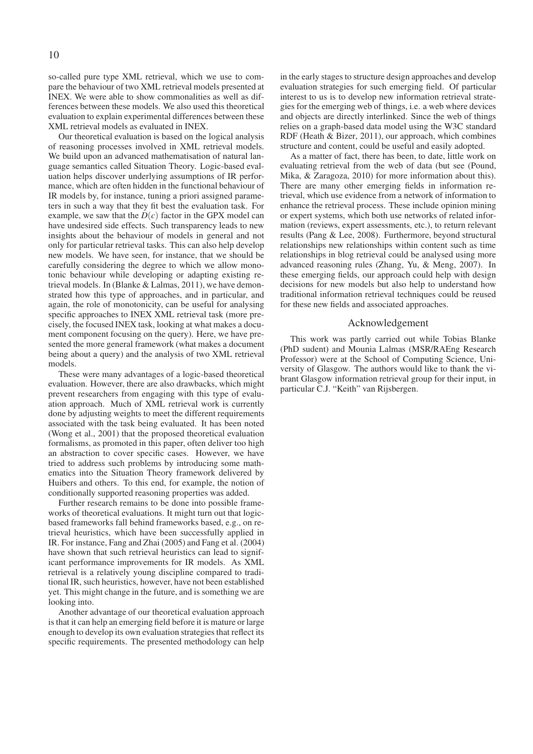so-called pure type XML retrieval, which we use to compare the behaviour of two XML retrieval models presented at INEX. We were able to show commonalities as well as differences between these models. We also used this theoretical evaluation to explain experimental differences between these XML retrieval models as evaluated in INEX.

Our theoretical evaluation is based on the logical analysis of reasoning processes involved in XML retrieval models. We build upon an advanced mathematisation of natural language semantics called Situation Theory. Logic-based evaluation helps discover underlying assumptions of IR performance, which are often hidden in the functional behaviour of IR models by, for instance, tuning a priori assigned parameters in such a way that they fit best the evaluation task. For example, we saw that the  $D(c)$  factor in the GPX model can have undesired side effects. Such transparency leads to new insights about the behaviour of models in general and not only for particular retrieval tasks. This can also help develop new models. We have seen, for instance, that we should be carefully considering the degree to which we allow monotonic behaviour while developing or adapting existing retrieval models. In (Blanke & Lalmas, 2011), we have demonstrated how this type of approaches, and in particular, and again, the role of monotonicity, can be useful for analysing specific approaches to INEX XML retrieval task (more precisely, the focused INEX task, looking at what makes a document component focusing on the query). Here, we have presented the more general framework (what makes a document being about a query) and the analysis of two XML retrieval models.

These were many advantages of a logic-based theoretical evaluation. However, there are also drawbacks, which might prevent researchers from engaging with this type of evaluation approach. Much of XML retrieval work is currently done by adjusting weights to meet the different requirements associated with the task being evaluated. It has been noted (Wong et al., 2001) that the proposed theoretical evaluation formalisms, as promoted in this paper, often deliver too high an abstraction to cover specific cases. However, we have tried to address such problems by introducing some mathematics into the Situation Theory framework delivered by Huibers and others. To this end, for example, the notion of conditionally supported reasoning properties was added.

Further research remains to be done into possible frameworks of theoretical evaluations. It might turn out that logicbased frameworks fall behind frameworks based, e.g., on retrieval heuristics, which have been successfully applied in IR. For instance, Fang and Zhai (2005) and Fang et al. (2004) have shown that such retrieval heuristics can lead to significant performance improvements for IR models. As XML retrieval is a relatively young discipline compared to traditional IR, such heuristics, however, have not been established yet. This might change in the future, and is something we are looking into.

Another advantage of our theoretical evaluation approach is that it can help an emerging field before it is mature or large enough to develop its own evaluation strategies that reflect its specific requirements. The presented methodology can help in the early stages to structure design approaches and develop evaluation strategies for such emerging field. Of particular interest to us is to develop new information retrieval strategies for the emerging web of things, i.e. a web where devices and objects are directly interlinked. Since the web of things relies on a graph-based data model using the W3C standard RDF (Heath & Bizer, 2011), our approach, which combines structure and content, could be useful and easily adopted.

As a matter of fact, there has been, to date, little work on evaluating retrieval from the web of data (but see (Pound, Mika, & Zaragoza, 2010) for more information about this). There are many other emerging fields in information retrieval, which use evidence from a network of information to enhance the retrieval process. These include opinion mining or expert systems, which both use networks of related information (reviews, expert assessments, etc.), to return relevant results (Pang & Lee, 2008). Furthermore, beyond structural relationships new relationships within content such as time relationships in blog retrieval could be analysed using more advanced reasoning rules (Zhang, Yu, & Meng, 2007). In these emerging fields, our approach could help with design decisions for new models but also help to understand how traditional information retrieval techniques could be reused for these new fields and associated approaches.

### Acknowledgement

This work was partly carried out while Tobias Blanke (PhD sudent) and Mounia Lalmas (MSR/RAEng Research Professor) were at the School of Computing Science, University of Glasgow. The authors would like to thank the vibrant Glasgow information retrieval group for their input, in particular C.J. "Keith" van Rijsbergen.